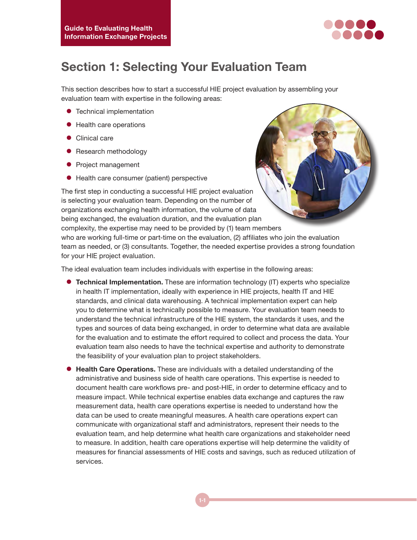

## **Section 1: Selecting Your Evaluation Team**

This section describes how to start a successful HIE project evaluation by assembling your evaluation team with expertise in the following areas:

- **•** Technical implementation
- $\bullet$  Health care operations
- **•** Clinical care
- Research methodology
- Project management
- $\bullet$  Health care consumer (patient) perspective

The first step in conducting a successful HIE project evaluation is selecting your evaluation team. Depending on the number of organizations exchanging health information, the volume of data being exchanged, the evaluation duration, and the evaluation plan complexity, the expertise may need to be provided by (1) team members

who are working full-time or part-time on the evaluation, (2) affiliates who join the evaluation team as needed, or (3) consultants. Together, the needed expertise provides a strong foundation for your HIE project evaluation.

The ideal evaluation team includes individuals with expertise in the following areas:

- **Technical Implementation.** These are information technology (IT) experts who specialize in health IT implementation, ideally with experience in HIE projects, health IT and HIE standards, and clinical data warehousing. A technical implementation expert can help you to determine what is technically possible to measure. Your evaluation team needs to understand the technical infrastructure of the HIE system, the standards it uses, and the types and sources of data being exchanged, in order to determine what data are available for the evaluation and to estimate the effort required to collect and process the data. Your evaluation team also needs to have the technical expertise and authority to demonstrate the feasibility of your evaluation plan to project stakeholders.
- **Health Care Operations.** These are individuals with a detailed understanding of the administrative and business side of health care operations. This expertise is needed to document health care workflows pre- and post-HIE, in order to determine efficacy and to measure impact. While technical expertise enables data exchange and captures the raw measurement data, health care operations expertise is needed to understand how the data can be used to create meaningful measures. A health care operations expert can communicate with organizational staff and administrators, represent their needs to the evaluation team, and help determine what health care organizations and stakeholder need to measure. In addition, health care operations expertise will help determine the validity of measures for financial assessments of HIE costs and savings, such as reduced utilization of services.